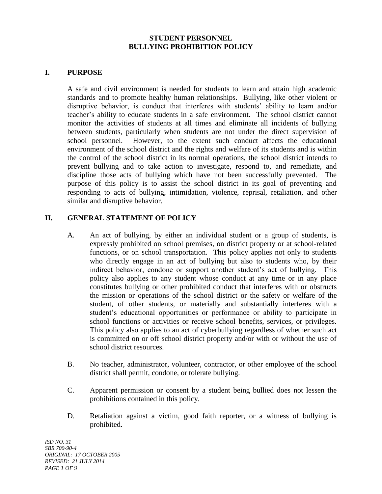#### **STUDENT PERSONNEL BULLYING PROHIBITION POLICY**

### **I. PURPOSE**

A safe and civil environment is needed for students to learn and attain high academic standards and to promote healthy human relationships. Bullying, like other violent or disruptive behavior, is conduct that interferes with students' ability to learn and/or teacher's ability to educate students in a safe environment. The school district cannot monitor the activities of students at all times and eliminate all incidents of bullying between students, particularly when students are not under the direct supervision of school personnel. However, to the extent such conduct affects the educational environment of the school district and the rights and welfare of its students and is within the control of the school district in its normal operations, the school district intends to prevent bullying and to take action to investigate, respond to, and remediate, and discipline those acts of bullying which have not been successfully prevented. The purpose of this policy is to assist the school district in its goal of preventing and responding to acts of bullying, intimidation, violence, reprisal, retaliation, and other similar and disruptive behavior.

### **II. GENERAL STATEMENT OF POLICY**

- A. An act of bullying, by either an individual student or a group of students, is expressly prohibited on school premises, on district property or at school-related functions, or on school transportation. This policy applies not only to students who directly engage in an act of bullying but also to students who, by their indirect behavior, condone or support another student's act of bullying. This policy also applies to any student whose conduct at any time or in any place constitutes bullying or other prohibited conduct that interferes with or obstructs the mission or operations of the school district or the safety or welfare of the student, of other students, or materially and substantially interferes with a student's educational opportunities or performance or ability to participate in school functions or activities or receive school benefits, services, or privileges. This policy also applies to an act of cyberbullying regardless of whether such act is committed on or off school district property and/or with or without the use of school district resources.
- B. No teacher, administrator, volunteer, contractor, or other employee of the school district shall permit, condone, or tolerate bullying.
- C. Apparent permission or consent by a student being bullied does not lessen the prohibitions contained in this policy.
- D. Retaliation against a victim, good faith reporter, or a witness of bullying is prohibited.

*ISD NO. 31 SBR 700-90-4 ORIGINAL: 17 OCTOBER 2005 REVISED: 21 JULY 2014 PAGE 1 OF 9*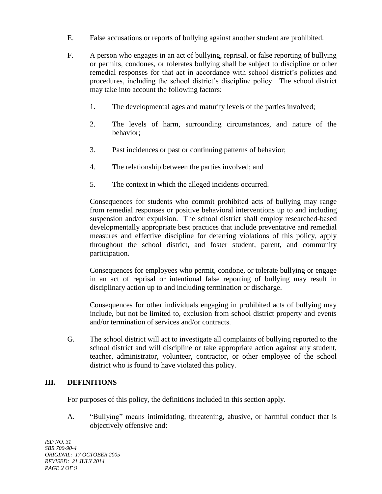- E. False accusations or reports of bullying against another student are prohibited.
- F. A person who engages in an act of bullying, reprisal, or false reporting of bullying or permits, condones, or tolerates bullying shall be subject to discipline or other remedial responses for that act in accordance with school district's policies and procedures, including the school district's discipline policy. The school district may take into account the following factors:
	- 1. The developmental ages and maturity levels of the parties involved;
	- 2. The levels of harm, surrounding circumstances, and nature of the behavior;
	- 3. Past incidences or past or continuing patterns of behavior;
	- 4. The relationship between the parties involved; and
	- 5. The context in which the alleged incidents occurred.

Consequences for students who commit prohibited acts of bullying may range from remedial responses or positive behavioral interventions up to and including suspension and/or expulsion. The school district shall employ researched-based developmentally appropriate best practices that include preventative and remedial measures and effective discipline for deterring violations of this policy, apply throughout the school district, and foster student, parent, and community participation.

Consequences for employees who permit, condone, or tolerate bullying or engage in an act of reprisal or intentional false reporting of bullying may result in disciplinary action up to and including termination or discharge.

Consequences for other individuals engaging in prohibited acts of bullying may include, but not be limited to, exclusion from school district property and events and/or termination of services and/or contracts.

G. The school district will act to investigate all complaints of bullying reported to the school district and will discipline or take appropriate action against any student, teacher, administrator, volunteer, contractor, or other employee of the school district who is found to have violated this policy.

# **III. DEFINITIONS**

For purposes of this policy, the definitions included in this section apply.

A. "Bullying" means intimidating, threatening, abusive, or harmful conduct that is objectively offensive and:

*ISD NO. 31 SBR 700-90-4 ORIGINAL: 17 OCTOBER 2005 REVISED: 21 JULY 2014 PAGE 2 OF 9*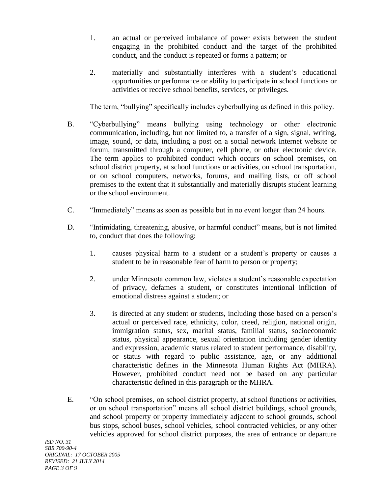- 1. an actual or perceived imbalance of power exists between the student engaging in the prohibited conduct and the target of the prohibited conduct, and the conduct is repeated or forms a pattern; or
- 2. materially and substantially interferes with a student's educational opportunities or performance or ability to participate in school functions or activities or receive school benefits, services, or privileges.

The term, "bullying" specifically includes cyberbullying as defined in this policy.

- B. "Cyberbullying" means bullying using technology or other electronic communication, including, but not limited to, a transfer of a sign, signal, writing, image, sound, or data, including a post on a social network Internet website or forum, transmitted through a computer, cell phone, or other electronic device. The term applies to prohibited conduct which occurs on school premises, on school district property, at school functions or activities, on school transportation, or on school computers, networks, forums, and mailing lists, or off school premises to the extent that it substantially and materially disrupts student learning or the school environment.
- C. "Immediately" means as soon as possible but in no event longer than 24 hours.
- D. "Intimidating, threatening, abusive, or harmful conduct" means, but is not limited to, conduct that does the following:
	- 1. causes physical harm to a student or a student's property or causes a student to be in reasonable fear of harm to person or property;
	- 2. under Minnesota common law, violates a student's reasonable expectation of privacy, defames a student, or constitutes intentional infliction of emotional distress against a student; or
	- 3. is directed at any student or students, including those based on a person's actual or perceived race, ethnicity, color, creed, religion, national origin, immigration status, sex, marital status, familial status, socioeconomic status, physical appearance, sexual orientation including gender identity and expression, academic status related to student performance, disability, or status with regard to public assistance, age, or any additional characteristic defines in the Minnesota Human Rights Act (MHRA). However, prohibited conduct need not be based on any particular characteristic defined in this paragraph or the MHRA.
- E. "On school premises, on school district property, at school functions or activities, or on school transportation" means all school district buildings, school grounds, and school property or property immediately adjacent to school grounds, school bus stops, school buses, school vehicles, school contracted vehicles, or any other vehicles approved for school district purposes, the area of entrance or departure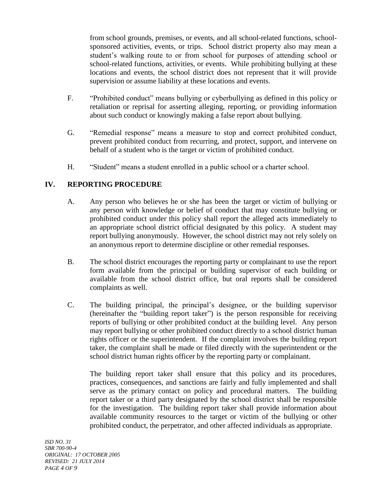from school grounds, premises, or events, and all school-related functions, schoolsponsored activities, events, or trips. School district property also may mean a student's walking route to or from school for purposes of attending school or school-related functions, activities, or events. While prohibiting bullying at these locations and events, the school district does not represent that it will provide supervision or assume liability at these locations and events.

- F. "Prohibited conduct" means bullying or cyberbullying as defined in this policy or retaliation or reprisal for asserting alleging, reporting, or providing information about such conduct or knowingly making a false report about bullying.
- G. "Remedial response" means a measure to stop and correct prohibited conduct, prevent prohibited conduct from recurring, and protect, support, and intervene on behalf of a student who is the target or victim of prohibited conduct.
- H. "Student" means a student enrolled in a public school or a charter school.

# **IV. REPORTING PROCEDURE**

- A. Any person who believes he or she has been the target or victim of bullying or any person with knowledge or belief of conduct that may constitute bullying or prohibited conduct under this policy shall report the alleged acts immediately to an appropriate school district official designated by this policy. A student may report bullying anonymously. However, the school district may not rely solely on an anonymous report to determine discipline or other remedial responses.
- B. The school district encourages the reporting party or complainant to use the report form available from the principal or building supervisor of each building or available from the school district office, but oral reports shall be considered complaints as well.
- C. The building principal, the principal's designee, or the building supervisor (hereinafter the "building report taker") is the person responsible for receiving reports of bullying or other prohibited conduct at the building level. Any person may report bullying or other prohibited conduct directly to a school district human rights officer or the superintendent. If the complaint involves the building report taker, the complaint shall be made or filed directly with the superintendent or the school district human rights officer by the reporting party or complainant.

The building report taker shall ensure that this policy and its procedures, practices, consequences, and sanctions are fairly and fully implemented and shall serve as the primary contact on policy and procedural matters. The building report taker or a third party designated by the school district shall be responsible for the investigation. The building report taker shall provide information about available community resources to the target or victim of the bullying or other prohibited conduct, the perpetrator, and other affected individuals as appropriate.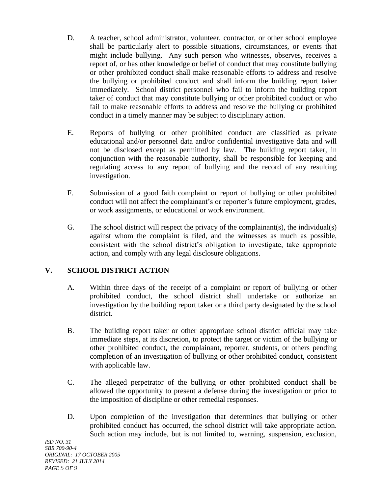- D. A teacher, school administrator, volunteer, contractor, or other school employee shall be particularly alert to possible situations, circumstances, or events that might include bullying. Any such person who witnesses, observes, receives a report of, or has other knowledge or belief of conduct that may constitute bullying or other prohibited conduct shall make reasonable efforts to address and resolve the bullying or prohibited conduct and shall inform the building report taker immediately. School district personnel who fail to inform the building report taker of conduct that may constitute bullying or other prohibited conduct or who fail to make reasonable efforts to address and resolve the bullying or prohibited conduct in a timely manner may be subject to disciplinary action.
- E. Reports of bullying or other prohibited conduct are classified as private educational and/or personnel data and/or confidential investigative data and will not be disclosed except as permitted by law. The building report taker, in conjunction with the reasonable authority, shall be responsible for keeping and regulating access to any report of bullying and the record of any resulting investigation.
- F. Submission of a good faith complaint or report of bullying or other prohibited conduct will not affect the complainant's or reporter's future employment, grades, or work assignments, or educational or work environment.
- G. The school district will respect the privacy of the complainant(s), the individual(s) against whom the complaint is filed, and the witnesses as much as possible, consistent with the school district's obligation to investigate, take appropriate action, and comply with any legal disclosure obligations.

# **V. SCHOOL DISTRICT ACTION**

- A. Within three days of the receipt of a complaint or report of bullying or other prohibited conduct, the school district shall undertake or authorize an investigation by the building report taker or a third party designated by the school district.
- B. The building report taker or other appropriate school district official may take immediate steps, at its discretion, to protect the target or victim of the bullying or other prohibited conduct, the complainant, reporter, students, or others pending completion of an investigation of bullying or other prohibited conduct, consistent with applicable law.
- C. The alleged perpetrator of the bullying or other prohibited conduct shall be allowed the opportunity to present a defense during the investigation or prior to the imposition of discipline or other remedial responses.
- D. Upon completion of the investigation that determines that bullying or other prohibited conduct has occurred, the school district will take appropriate action. Such action may include, but is not limited to, warning, suspension, exclusion,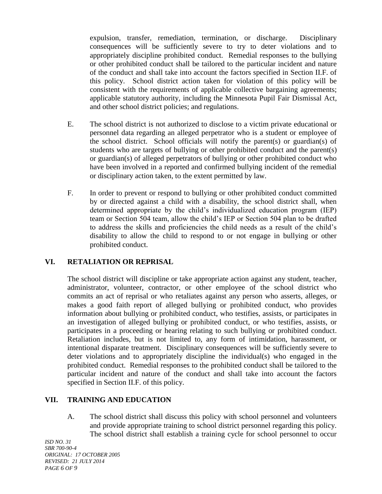expulsion, transfer, remediation, termination, or discharge. Disciplinary consequences will be sufficiently severe to try to deter violations and to appropriately discipline prohibited conduct. Remedial responses to the bullying or other prohibited conduct shall be tailored to the particular incident and nature of the conduct and shall take into account the factors specified in Section II.F. of this policy. School district action taken for violation of this policy will be consistent with the requirements of applicable collective bargaining agreements; applicable statutory authority, including the Minnesota Pupil Fair Dismissal Act, and other school district policies; and regulations.

- E. The school district is not authorized to disclose to a victim private educational or personnel data regarding an alleged perpetrator who is a student or employee of the school district. School officials will notify the parent(s) or guardian(s) of students who are targets of bullying or other prohibited conduct and the parent(s) or guardian(s) of alleged perpetrators of bullying or other prohibited conduct who have been involved in a reported and confirmed bullying incident of the remedial or disciplinary action taken, to the extent permitted by law.
- F. In order to prevent or respond to bullying or other prohibited conduct committed by or directed against a child with a disability, the school district shall, when determined appropriate by the child's individualized education program (IEP) team or Section 504 team, allow the child's IEP or Section 504 plan to be drafted to address the skills and proficiencies the child needs as a result of the child's disability to allow the child to respond to or not engage in bullying or other prohibited conduct.

# **VI. RETALIATION OR REPRISAL**

The school district will discipline or take appropriate action against any student, teacher, administrator, volunteer, contractor, or other employee of the school district who commits an act of reprisal or who retaliates against any person who asserts, alleges, or makes a good faith report of alleged bullying or prohibited conduct, who provides information about bullying or prohibited conduct, who testifies, assists, or participates in an investigation of alleged bullying or prohibited conduct, or who testifies, assists, or participates in a proceeding or hearing relating to such bullying or prohibited conduct. Retaliation includes, but is not limited to, any form of intimidation, harassment, or intentional disparate treatment. Disciplinary consequences will be sufficiently severe to deter violations and to appropriately discipline the individual(s) who engaged in the prohibited conduct. Remedial responses to the prohibited conduct shall be tailored to the particular incident and nature of the conduct and shall take into account the factors specified in Section II.F. of this policy.

# **VII. TRAINING AND EDUCATION**

A. The school district shall discuss this policy with school personnel and volunteers and provide appropriate training to school district personnel regarding this policy. The school district shall establish a training cycle for school personnel to occur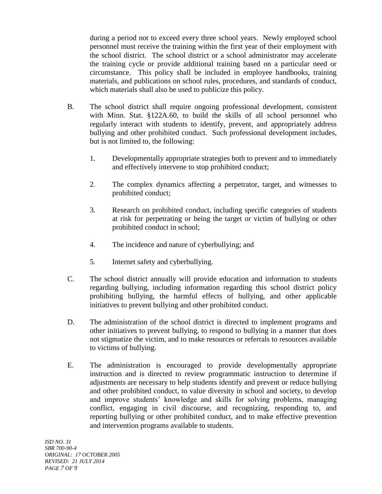during a period not to exceed every three school years. Newly employed school personnel must receive the training within the first year of their employment with the school district. The school district or a school administrator may accelerate the training cycle or provide additional training based on a particular need or circumstance. This policy shall be included in employee handbooks, training materials, and publications on school rules, procedures, and standards of conduct, which materials shall also be used to publicize this policy.

- B. The school district shall require ongoing professional development, consistent with Minn. Stat. §122A.60, to build the skills of all school personnel who regularly interact with students to identify, prevent, and appropriately address bullying and other prohibited conduct. Such professional development includes, but is not limited to, the following:
	- 1. Developmentally appropriate strategies both to prevent and to immediately and effectively intervene to stop prohibited conduct;
	- 2. The complex dynamics affecting a perpetrator, target, and witnesses to prohibited conduct;
	- 3. Research on prohibited conduct, including specific categories of students at risk for perpetrating or being the target or victim of bullying or other prohibited conduct in school;
	- 4. The incidence and nature of cyberbullying; and
	- 5. Internet safety and cyberbullying.
- C. The school district annually will provide education and information to students regarding bullying, including information regarding this school district policy prohibiting bullying, the harmful effects of bullying, and other applicable initiatives to prevent bullying and other prohibited conduct.
- D. The administration of the school district is directed to implement programs and other initiatives to prevent bullying, to respond to bullying in a manner that does not stigmatize the victim, and to make resources or referrals to resources available to victims of bullying.
- E. The administration is encouraged to provide developmentally appropriate instruction and is directed to review programmatic instruction to determine if adjustments are necessary to help students identify and prevent or reduce bullying and other prohibited conduct, to value diversity in school and society, to develop and improve students' knowledge and skills for solving problems, managing conflict, engaging in civil discourse, and recognizing, responding to, and reporting bullying or other prohibited conduct, and to make effective prevention and intervention programs available to students.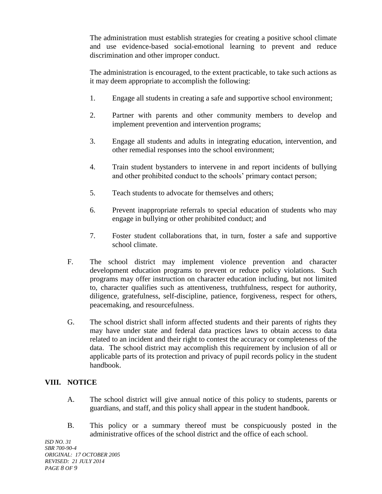The administration must establish strategies for creating a positive school climate and use evidence-based social-emotional learning to prevent and reduce discrimination and other improper conduct.

The administration is encouraged, to the extent practicable, to take such actions as it may deem appropriate to accomplish the following:

- 1. Engage all students in creating a safe and supportive school environment;
- 2. Partner with parents and other community members to develop and implement prevention and intervention programs;
- 3. Engage all students and adults in integrating education, intervention, and other remedial responses into the school environment;
- 4. Train student bystanders to intervene in and report incidents of bullying and other prohibited conduct to the schools' primary contact person;
- 5. Teach students to advocate for themselves and others;
- 6. Prevent inappropriate referrals to special education of students who may engage in bullying or other prohibited conduct; and
- 7. Foster student collaborations that, in turn, foster a safe and supportive school climate.
- F. The school district may implement violence prevention and character development education programs to prevent or reduce policy violations. Such programs may offer instruction on character education including, but not limited to, character qualifies such as attentiveness, truthfulness, respect for authority, diligence, gratefulness, self-discipline, patience, forgiveness, respect for others, peacemaking, and resourcefulness.
- G. The school district shall inform affected students and their parents of rights they may have under state and federal data practices laws to obtain access to data related to an incident and their right to contest the accuracy or completeness of the data. The school district may accomplish this requirement by inclusion of all or applicable parts of its protection and privacy of pupil records policy in the student handbook.

# **VIII. NOTICE**

- A. The school district will give annual notice of this policy to students, parents or guardians, and staff, and this policy shall appear in the student handbook.
- B. This policy or a summary thereof must be conspicuously posted in the administrative offices of the school district and the office of each school.